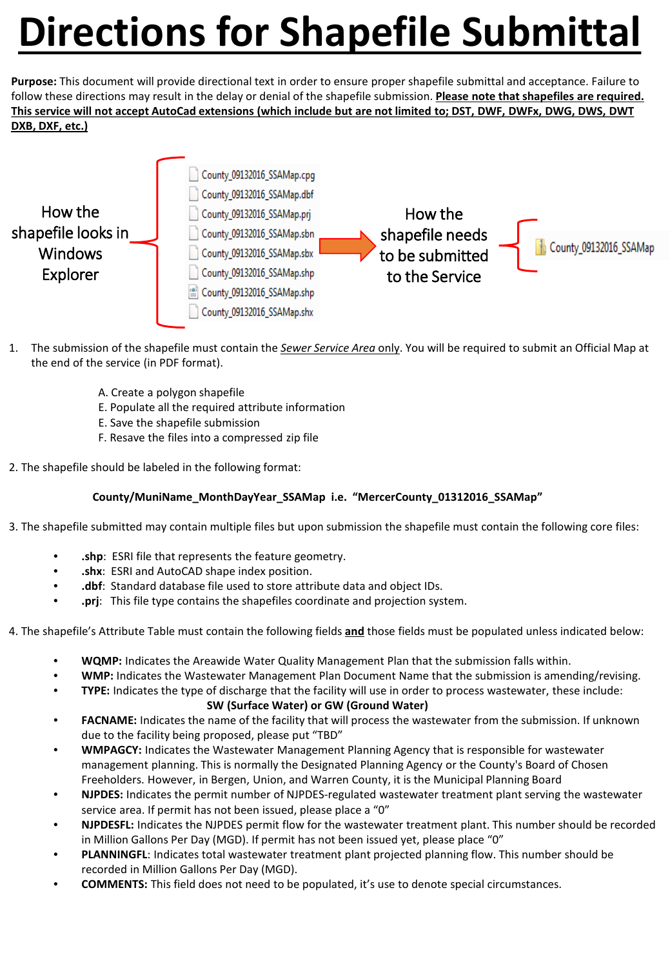## **Directions for Shapefile Submittal**

**Purpose:** This document will provide directional text in order to ensure proper shapefile submittal and acceptance. Failure to follow these directions may result in the delay or denial of the shapefile submission. **Please note that shapefiles are required. This service will not accept AutoCad extensions (which include but are not limited to; DST, DWF, DWFx, DWG, DWS, DWT DXB, DXF, etc.)**



- 1. The submission of the shapefile must contain the *Sewer Service Area* only. You will be required to submit an Official Map at the end of the service (in PDF format).
	- A. Create a polygon shapefile
	- E. Populate all the required attribute information
	- E. Save the shapefile submission
	- F. Resave the files into a compressed zip file
- 2. The shapefile should be labeled in the following format:

## **County/MuniName\_MonthDayYear\_SSAMap i.e. "MercerCounty\_01312016\_SSAMap"**

3. The shapefile submitted may contain multiple files but upon submission the shapefile must contain the following core files:

- **.shp**: ESRI file that represents the feature geometry.
- **.shx**: ESRI and AutoCAD shape index position.
- **.dbf**: Standard database file used to store attribute data and object IDs.
- **.prj**: This file type contains the shapefiles coordinate and projection system.
- 4. The shapefile's Attribute Table must contain the following fields **and** those fields must be populated unless indicated below:
	- **WQMP:** Indicates the Areawide Water Quality Management Plan that the submission falls within.
	- **WMP:** Indicates the Wastewater Management Plan Document Name that the submission is amending/revising.
	- **TYPE:** Indicates the type of discharge that the facility will use in order to process wastewater, these include:

## **SW (Surface Water) or GW (Ground Water)**

- **FACNAME:** Indicates the name of the facility that will process the wastewater from the submission. If unknown due to the facility being proposed, please put "TBD"
- **WMPAGCY:** Indicates the Wastewater Management Planning Agency that is responsible for wastewater management planning. This is normally the Designated Planning Agency or the County's Board of Chosen Freeholders. However, in Bergen, Union, and Warren County, it is the Municipal Planning Board
- **NJPDES:** Indicates the permit number of NJPDES-regulated wastewater treatment plant serving the wastewater service area. If permit has not been issued, please place a "0"
- **NJPDESFL:** Indicates the NJPDES permit flow for the wastewater treatment plant. This number should be recorded in Million Gallons Per Day (MGD). If permit has not been issued yet, please place "0"
- **PLANNINGFL**: Indicates total wastewater treatment plant projected planning flow. This number should be recorded in Million Gallons Per Day (MGD).
- **COMMENTS:** This field does not need to be populated, it's use to denote special circumstances.